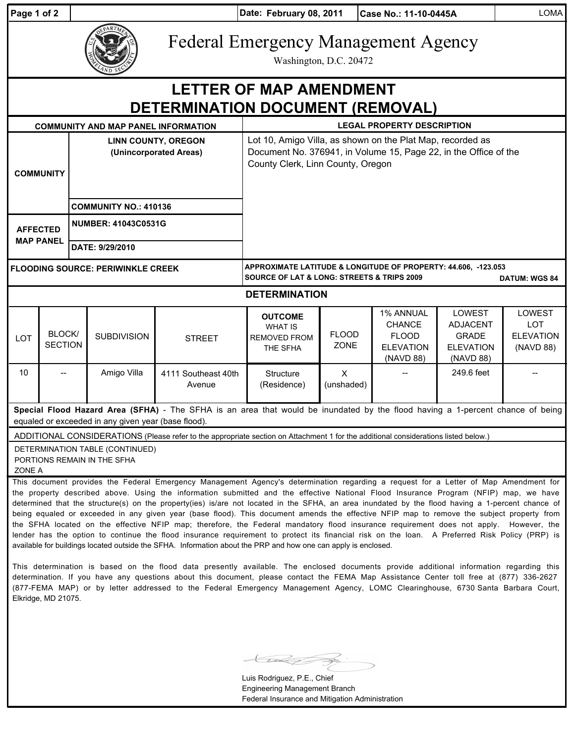| Page 1 of 2                                                        |                          | Date: February 08, 2011<br>Case No.: 11-10-0445A     |                                                                |                                                                                                                                                                                                                                                                                                                                                                                                                                                                                                                                                                                                                                                                                                                                                                                                                                                                                                                                                                                                                                                                                                                                       |                                                                                                                                                                     |                             |                                                                                    |                                                                            | <b>LOMA</b>                                                  |  |
|--------------------------------------------------------------------|--------------------------|------------------------------------------------------|----------------------------------------------------------------|---------------------------------------------------------------------------------------------------------------------------------------------------------------------------------------------------------------------------------------------------------------------------------------------------------------------------------------------------------------------------------------------------------------------------------------------------------------------------------------------------------------------------------------------------------------------------------------------------------------------------------------------------------------------------------------------------------------------------------------------------------------------------------------------------------------------------------------------------------------------------------------------------------------------------------------------------------------------------------------------------------------------------------------------------------------------------------------------------------------------------------------|---------------------------------------------------------------------------------------------------------------------------------------------------------------------|-----------------------------|------------------------------------------------------------------------------------|----------------------------------------------------------------------------|--------------------------------------------------------------|--|
|                                                                    |                          |                                                      |                                                                |                                                                                                                                                                                                                                                                                                                                                                                                                                                                                                                                                                                                                                                                                                                                                                                                                                                                                                                                                                                                                                                                                                                                       | <b>Federal Emergency Management Agency</b><br>Washington, D.C. 20472                                                                                                |                             |                                                                                    |                                                                            |                                                              |  |
| <b>LETTER OF MAP AMENDMENT</b><br>DETERMINATION DOCUMENT (REMOVAL) |                          |                                                      |                                                                |                                                                                                                                                                                                                                                                                                                                                                                                                                                                                                                                                                                                                                                                                                                                                                                                                                                                                                                                                                                                                                                                                                                                       |                                                                                                                                                                     |                             |                                                                                    |                                                                            |                                                              |  |
|                                                                    |                          |                                                      | <b>COMMUNITY AND MAP PANEL INFORMATION</b>                     |                                                                                                                                                                                                                                                                                                                                                                                                                                                                                                                                                                                                                                                                                                                                                                                                                                                                                                                                                                                                                                                                                                                                       | <b>LEGAL PROPERTY DESCRIPTION</b>                                                                                                                                   |                             |                                                                                    |                                                                            |                                                              |  |
| <b>COMMUNITY</b>                                                   |                          | <b>LINN COUNTY, OREGON</b><br>(Unincorporated Areas) |                                                                |                                                                                                                                                                                                                                                                                                                                                                                                                                                                                                                                                                                                                                                                                                                                                                                                                                                                                                                                                                                                                                                                                                                                       | Lot 10, Amigo Villa, as shown on the Plat Map, recorded as<br>Document No. 376941, in Volume 15, Page 22, in the Office of the<br>County Clerk, Linn County, Oregon |                             |                                                                                    |                                                                            |                                                              |  |
|                                                                    |                          |                                                      | <b>COMMUNITY NO.: 410136</b>                                   |                                                                                                                                                                                                                                                                                                                                                                                                                                                                                                                                                                                                                                                                                                                                                                                                                                                                                                                                                                                                                                                                                                                                       |                                                                                                                                                                     |                             |                                                                                    |                                                                            |                                                              |  |
| <b>AFFECTED</b><br><b>MAP PANEL</b>                                |                          | <b>NUMBER: 41043C0531G</b><br>DATE: 9/29/2010        |                                                                |                                                                                                                                                                                                                                                                                                                                                                                                                                                                                                                                                                                                                                                                                                                                                                                                                                                                                                                                                                                                                                                                                                                                       |                                                                                                                                                                     |                             |                                                                                    |                                                                            |                                                              |  |
| <b>FLOODING SOURCE: PERIWINKLE CREEK</b>                           |                          |                                                      |                                                                |                                                                                                                                                                                                                                                                                                                                                                                                                                                                                                                                                                                                                                                                                                                                                                                                                                                                                                                                                                                                                                                                                                                                       | APPROXIMATE LATITUDE & LONGITUDE OF PROPERTY: 44.606, -123.053<br><b>SOURCE OF LAT &amp; LONG: STREETS &amp; TRIPS 2009</b><br><b>DATUM: WGS 84</b>                 |                             |                                                                                    |                                                                            |                                                              |  |
| <b>DETERMINATION</b>                                               |                          |                                                      |                                                                |                                                                                                                                                                                                                                                                                                                                                                                                                                                                                                                                                                                                                                                                                                                                                                                                                                                                                                                                                                                                                                                                                                                                       |                                                                                                                                                                     |                             |                                                                                    |                                                                            |                                                              |  |
| LOT                                                                | BLOCK/<br><b>SECTION</b> |                                                      | <b>SUBDIVISION</b>                                             | <b>STREET</b>                                                                                                                                                                                                                                                                                                                                                                                                                                                                                                                                                                                                                                                                                                                                                                                                                                                                                                                                                                                                                                                                                                                         | <b>OUTCOME</b><br><b>WHAT IS</b><br><b>REMOVED FROM</b><br>THE SFHA                                                                                                 | <b>FLOOD</b><br><b>ZONE</b> | <b>1% ANNUAL</b><br><b>CHANCE</b><br><b>FLOOD</b><br><b>ELEVATION</b><br>(NAVD 88) | LOWEST<br><b>ADJACENT</b><br><b>GRADE</b><br><b>ELEVATION</b><br>(NAVD 88) | <b>LOWEST</b><br><b>LOT</b><br><b>ELEVATION</b><br>(NAVD 88) |  |
| 10                                                                 |                          |                                                      | Amigo Villa                                                    | 4111 Southeast 40th<br>Avenue                                                                                                                                                                                                                                                                                                                                                                                                                                                                                                                                                                                                                                                                                                                                                                                                                                                                                                                                                                                                                                                                                                         | Structure<br>(Residence)                                                                                                                                            | $\mathsf{X}$<br>(unshaded)  |                                                                                    | 249.6 feet                                                                 |                                                              |  |
|                                                                    |                          |                                                      | equaled or exceeded in any given year (base flood).            | Special Flood Hazard Area (SFHA) - The SFHA is an area that would be inundated by the flood having a 1-percent chance of being                                                                                                                                                                                                                                                                                                                                                                                                                                                                                                                                                                                                                                                                                                                                                                                                                                                                                                                                                                                                        |                                                                                                                                                                     |                             |                                                                                    |                                                                            |                                                              |  |
| ZONE A                                                             |                          |                                                      | DETERMINATION TABLE (CONTINUED)<br>PORTIONS REMAIN IN THE SFHA | ADDITIONAL CONSIDERATIONS (Please refer to the appropriate section on Attachment 1 for the additional considerations listed below.)                                                                                                                                                                                                                                                                                                                                                                                                                                                                                                                                                                                                                                                                                                                                                                                                                                                                                                                                                                                                   |                                                                                                                                                                     |                             |                                                                                    |                                                                            |                                                              |  |
|                                                                    |                          |                                                      |                                                                | This document provides the Federal Emergency Management Agency's determination regarding a request for a Letter of Map Amendment for<br>the property described above. Using the information submitted and the effective National Flood Insurance Program (NFIP) map, we have<br>determined that the structure(s) on the property(ies) is/are not located in the SFHA, an area inundated by the flood having a 1-percent chance of<br>being equaled or exceeded in any given year (base flood). This document amends the effective NFIP map to remove the subject property from<br>the SFHA located on the effective NFIP map; therefore, the Federal mandatory flood insurance requirement does not apply. However, the<br>lender has the option to continue the flood insurance requirement to protect its financial risk on the loan. A Preferred Risk Policy (PRP) is<br>available for buildings located outside the SFHA. Information about the PRP and how one can apply is enclosed.<br>This determination is based on the flood data presently available. The enclosed documents provide additional information regarding this |                                                                                                                                                                     |                             |                                                                                    |                                                                            |                                                              |  |

determination. If you have any questions about this document, please contact the FEMA Map Assistance Center toll free at (877) 336-2627 (877-FEMA MAP) or by letter addressed to the Federal Emergency Management Agency, LOMC Clearinghouse, 6730 Santa Barbara Court,

Elkridge, MD 21075.

Luis Rodriguez, P.E., Chief Engineering Management Branch Federal Insurance and Mitigation Administration